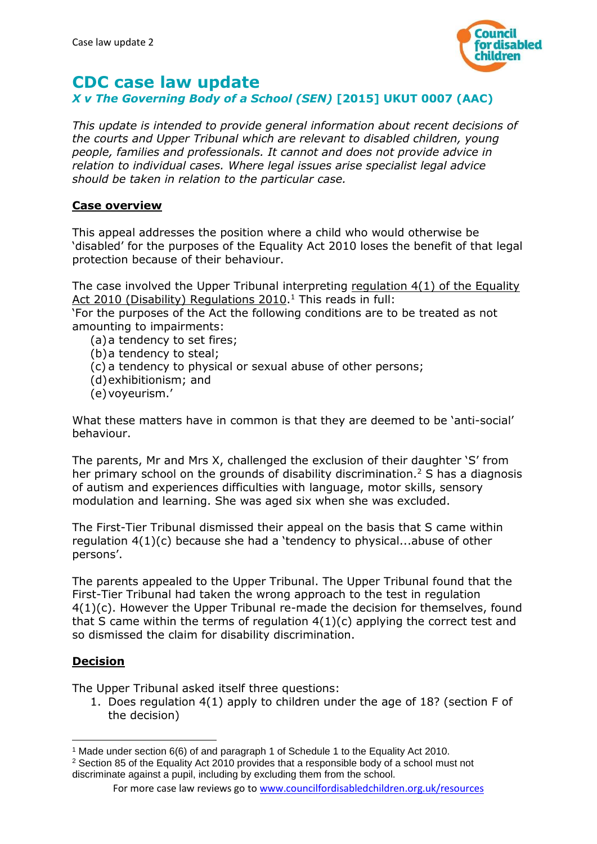

# **CDC case law update**

# *X v The Governing Body of a School (SEN)* **[2015] UKUT 0007 (AAC)**

*This update is intended to provide general information about recent decisions of the courts and Upper Tribunal which are relevant to disabled children, young people, families and professionals. It cannot and does not provide advice in relation to individual cases. Where legal issues arise specialist legal advice should be taken in relation to the particular case.*

#### **Case overview**

This appeal addresses the position where a child who would otherwise be 'disabled' for the purposes of the Equality Act 2010 loses the benefit of that legal protection because of their behaviour.

The case involved the Upper Tribunal interpreting regulation 4(1) of the Equality Act 2010 (Disability) Regulations 2010.<sup>1</sup> This reads in full:

'For the purposes of the Act the following conditions are to be treated as not amounting to impairments:

- (a)a tendency to set fires;
- (b)a tendency to steal;
- (c) a tendency to physical or sexual abuse of other persons;
- (d)exhibitionism; and
- (e)voyeurism.'

What these matters have in common is that they are deemed to be 'anti-social' behaviour.

The parents, Mr and Mrs X, challenged the exclusion of their daughter 'S' from her primary school on the grounds of disability discrimination.<sup>2</sup> S has a diagnosis of autism and experiences difficulties with language, motor skills, sensory modulation and learning. She was aged six when she was excluded.

The First-Tier Tribunal dismissed their appeal on the basis that S came within regulation 4(1)(c) because she had a 'tendency to physical...abuse of other persons'.

The parents appealed to the Upper Tribunal. The Upper Tribunal found that the First-Tier Tribunal had taken the wrong approach to the test in regulation 4(1)(c). However the Upper Tribunal re-made the decision for themselves, found that S came within the terms of regulation  $4(1)(c)$  applying the correct test and so dismissed the claim for disability discrimination.

#### **Decision**

1

The Upper Tribunal asked itself three questions:

1. Does regulation 4(1) apply to children under the age of 18? (section F of the decision)

<sup>1</sup> Made under section 6(6) of and paragraph 1 of Schedule 1 to the Equality Act 2010.

<sup>2</sup> Section 85 of the Equality Act 2010 provides that a responsible body of a school must not discriminate against a pupil, including by excluding them from the school.

For more case law reviews go to [www.councilfordisabledchildren.org.uk/resources](http://www.councilfordisabledchildren.org.uk/resources)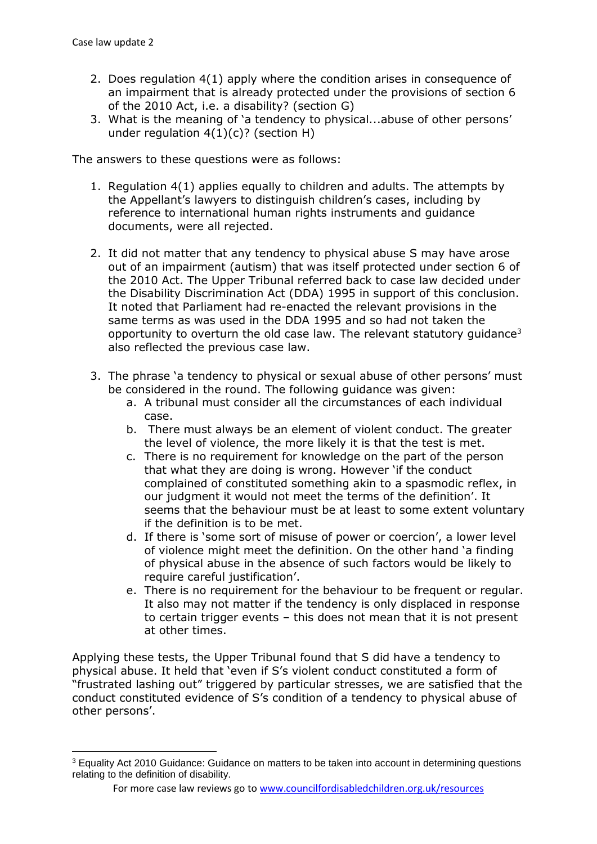**.** 

- 2. Does regulation 4(1) apply where the condition arises in consequence of an impairment that is already protected under the provisions of section 6 of the 2010 Act, i.e. a disability? (section G)
- 3. What is the meaning of 'a tendency to physical...abuse of other persons' under regulation  $4(1)(c)$ ? (section H)

The answers to these questions were as follows:

- 1. Regulation 4(1) applies equally to children and adults. The attempts by the Appellant's lawyers to distinguish children's cases, including by reference to international human rights instruments and guidance documents, were all rejected.
- 2. It did not matter that any tendency to physical abuse S may have arose out of an impairment (autism) that was itself protected under section 6 of the 2010 Act. The Upper Tribunal referred back to case law decided under the Disability Discrimination Act (DDA) 1995 in support of this conclusion. It noted that Parliament had re-enacted the relevant provisions in the same terms as was used in the DDA 1995 and so had not taken the opportunity to overturn the old case law. The relevant statutory quidance<sup>3</sup> also reflected the previous case law.
- 3. The phrase 'a tendency to physical or sexual abuse of other persons' must be considered in the round. The following guidance was given:
	- a. A tribunal must consider all the circumstances of each individual case.
	- b. There must always be an element of violent conduct. The greater the level of violence, the more likely it is that the test is met.
	- c. There is no requirement for knowledge on the part of the person that what they are doing is wrong. However 'if the conduct complained of constituted something akin to a spasmodic reflex, in our judgment it would not meet the terms of the definition'. It seems that the behaviour must be at least to some extent voluntary if the definition is to be met.
	- d. If there is 'some sort of misuse of power or coercion', a lower level of violence might meet the definition. On the other hand 'a finding of physical abuse in the absence of such factors would be likely to require careful justification'.
	- e. There is no requirement for the behaviour to be frequent or regular. It also may not matter if the tendency is only displaced in response to certain trigger events – this does not mean that it is not present at other times.

Applying these tests, the Upper Tribunal found that S did have a tendency to physical abuse. It held that 'even if S's violent conduct constituted a form of "frustrated lashing out" triggered by particular stresses, we are satisfied that the conduct constituted evidence of S's condition of a tendency to physical abuse of other persons'.

<sup>3</sup> Equality Act 2010 Guidance: Guidance on matters to be taken into account in determining questions relating to the definition of disability.

For more case law reviews go to [www.councilfordisabledchildren.org.uk/resources](http://www.councilfordisabledchildren.org.uk/resources)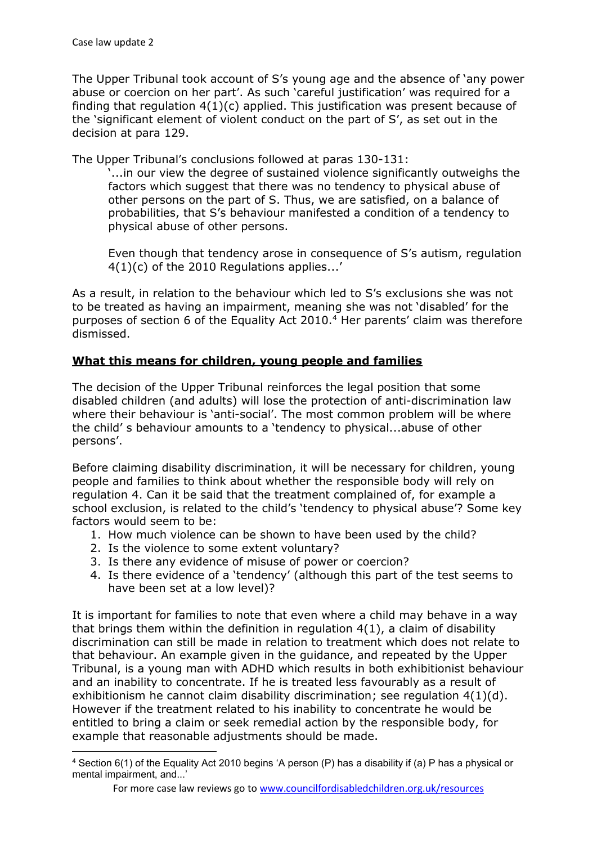**.** 

The Upper Tribunal took account of S's young age and the absence of 'any power abuse or coercion on her part'. As such 'careful justification' was required for a finding that regulation  $4(1)(c)$  applied. This justification was present because of the 'significant element of violent conduct on the part of S', as set out in the decision at para 129.

The Upper Tribunal's conclusions followed at paras 130-131:

'...in our view the degree of sustained violence significantly outweighs the factors which suggest that there was no tendency to physical abuse of other persons on the part of S. Thus, we are satisfied, on a balance of probabilities, that S's behaviour manifested a condition of a tendency to physical abuse of other persons.

Even though that tendency arose in consequence of S's autism, regulation 4(1)(c) of the 2010 Regulations applies...'

As a result, in relation to the behaviour which led to S's exclusions she was not to be treated as having an impairment, meaning she was not 'disabled' for the purposes of section 6 of the Equality Act 2010.<sup>4</sup> Her parents' claim was therefore dismissed.

## **What this means for children, young people and families**

The decision of the Upper Tribunal reinforces the legal position that some disabled children (and adults) will lose the protection of anti-discrimination law where their behaviour is 'anti-social'. The most common problem will be where the child' s behaviour amounts to a 'tendency to physical...abuse of other persons'.

Before claiming disability discrimination, it will be necessary for children, young people and families to think about whether the responsible body will rely on regulation 4. Can it be said that the treatment complained of, for example a school exclusion, is related to the child's 'tendency to physical abuse'? Some key factors would seem to be:

- 1. How much violence can be shown to have been used by the child?
- 2. Is the violence to some extent voluntary?
- 3. Is there any evidence of misuse of power or coercion?
- 4. Is there evidence of a 'tendency' (although this part of the test seems to have been set at a low level)?

It is important for families to note that even where a child may behave in a way that brings them within the definition in regulation  $4(1)$ , a claim of disability discrimination can still be made in relation to treatment which does not relate to that behaviour. An example given in the guidance, and repeated by the Upper Tribunal, is a young man with ADHD which results in both exhibitionist behaviour and an inability to concentrate. If he is treated less favourably as a result of exhibitionism he cannot claim disability discrimination; see regulation 4(1)(d). However if the treatment related to his inability to concentrate he would be entitled to bring a claim or seek remedial action by the responsible body, for example that reasonable adjustments should be made.

<sup>4</sup> Section 6(1) of the Equality Act 2010 begins 'A person (P) has a disability if (a) P has a physical or mental impairment, and...'

For more case law reviews go to [www.councilfordisabledchildren.org.uk/resources](http://www.councilfordisabledchildren.org.uk/resources)